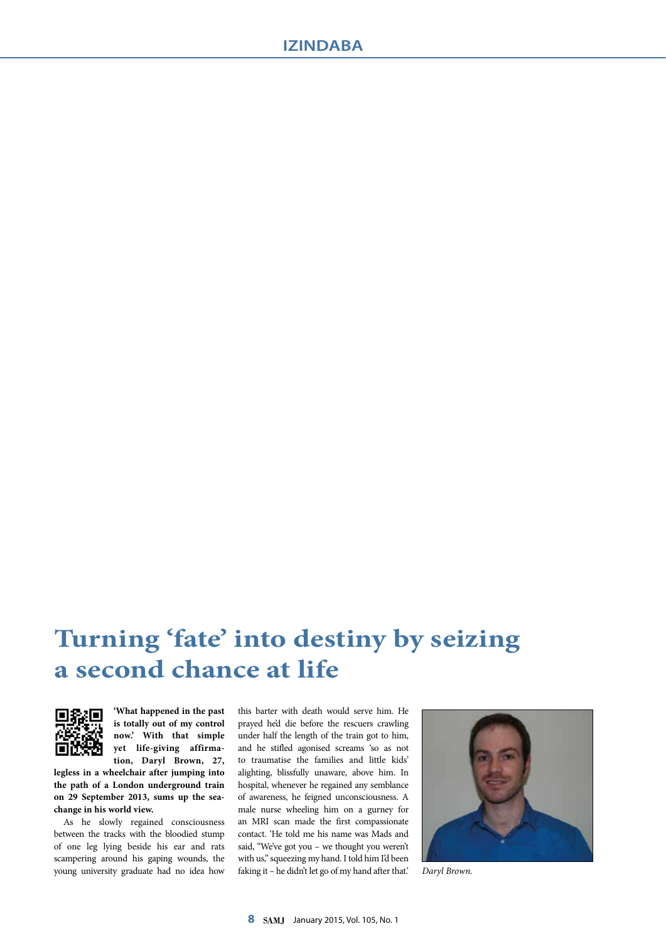## **Turning 'fate' into destiny by seizing a second chance at life**



**'What happened in the past is totally out of my control now.' With that simple yet life-giving affirmation, Daryl Brown, 27,** 

**legless in a wheelchair after jumping into the path of a London underground train on 29 September 2013, sums up the seachange in his world view.** 

As he slowly regained consciousness between the tracks with the bloodied stump of one leg lying beside his ear and rats scampering around his gaping wounds, the young university graduate had no idea how this barter with death would serve him. He prayed he'd die before the rescuers crawling under half the length of the train got to him, and he stifled agonised screams 'so as not to traumatise the families and little kids' alighting, blissfully unaware, above him. In hospital, whenever he regained any semblance of awareness, he feigned unconsciousness. A male nurse wheeling him on a gurney for an MRI scan made the first compassionate contact. 'He told me his name was Mads and said, "We've got you – we thought you weren't with us," squeezing my hand. I told him I'd been faking it – he didn't let go of my hand after that.' *Daryl Brown.*